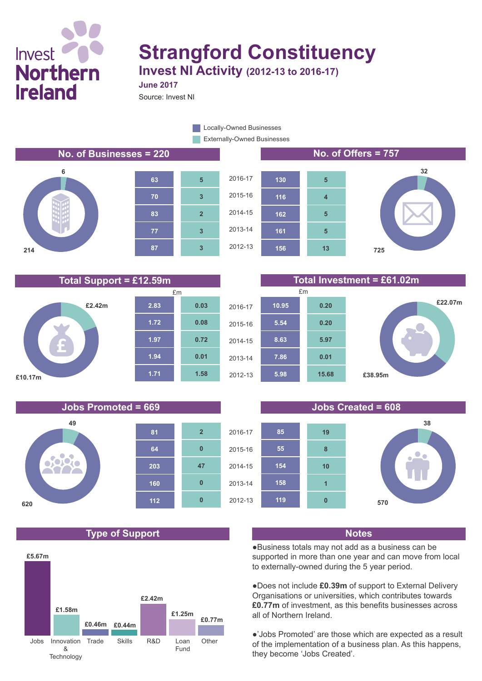## **Invest Northern Ireland**

# **Strangford Constituency**

**Invest NI Activity (2012-13 to 2016-17) June 2017**

Source: Invest NI

Externally-Owned Businesses **Locally-Owned Businesses** 

#### **No. of Businesses = 220 No. of Offers = 757**



**49**

i C **TY** 

**620**













#### **Jobs Promoted = 669 Jobs Created = 608**



#### **Type of Support Notes**

**160**

**112**

**0**

**0**

**47**

**0**

**2**

**203**

**64**

**81**



●Business totals may not add as a business can be supported in more than one year and can move from local to externally-owned during the 5 year period.

●Does not include **£0.39m** of support to External Delivery Organisations or universities, which contributes towards **£0.77m** of investment, as this benefits businesses across all of Northern Ireland.

●'Jobs Promoted' are those which are expected as a result of the implementation of a business plan. As this happens, they become 'Jobs Created'.